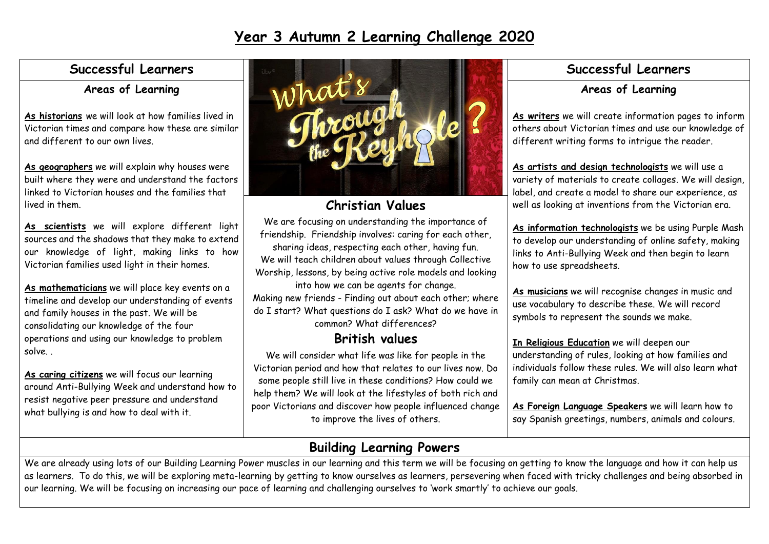# **Year 3 Autumn 2 Learning Challenge 2020**

### **Successful Learners**

### **Areas of Learning**

**As historians** we will look at how families lived in Victorian times and compare how these are similar and different to our own lives.

**As geographers** we will explain why houses were built where they were and understand the factors linked to Victorian houses and the families that lived in them.

**As scientists** we will explore different light sources and the shadows that they make to extend our knowledge of light, making links to how Victorian families used light in their homes.

**As mathematicians** we will place key events on a timeline and develop our understanding of events and family houses in the past. We will be consolidating our knowledge of the four operations and using our knowledge to problem solve. .

**As caring citizens** we will focus our learning around Anti-Bullying Week and understand how to resist negative peer pressure and understand what bullying is and how to deal with it.



### **Christian Values**

We are focusing on understanding the importance of friendship. Friendship involves: caring for each other, sharing ideas, respecting each other, having fun. We will teach children about values through Collective Worship, lessons, by being active role models and looking into how we can be agents for change. Making new friends - Finding out about each other; where

do I start? What questions do I ask? What do we have in common? What differences?

## **British values**

We will consider what life was like for people in the Victorian period and how that relates to our lives now. Do some people still live in these conditions? How could we help them? We will look at the lifestyles of both rich and poor Victorians and discover how people influenced change to improve the lives of others.

### **Successful Learners**

### **Areas of Learning**

**As writers** we will create information pages to inform others about Victorian times and use our knowledge of different writing forms to intrigue the reader.

**As artists and design technologists** we will use a variety of materials to create collages. We will design, label, and create a model to share our experience, as well as looking at inventions from the Victorian era.

 $\overline{\phantom{a}}$ 

**As information technologists** we be using Purple Mash to develop our understanding of online safety, making links to Anti-Bullying Week and then begin to learn how to use spreadsheets.

**As musicians** we will recognise changes in music and use vocabulary to describe these. We will record symbols to represent the sounds we make.

**In Religious Education** we will deepen our understanding of rules, looking at how families and individuals follow these rules. We will also learn what family can mean at Christmas.

**As Foreign Language Speakers** we will learn how to say Spanish greetings, numbers, animals and colours.

# **Building Learning Powers**

We are already using lots of our Building Learning Power muscles in our learning and this term we will be focusing on getting to know the language and how it can help us as learners. To do this, we will be exploring meta-learning by getting to know ourselves as learners, persevering when faced with tricky challenges and being absorbed in our learning. We will be focusing on increasing our pace of learning and challenging ourselves to 'work smartly' to achieve our goals.